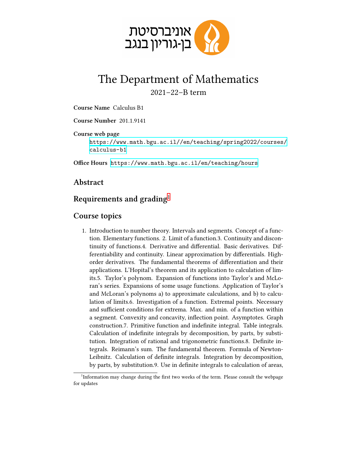

## The Department of Mathematics 2021–22–B term

**Course Name** Calculus B1

**Course Number** 201.1.9141

**Course web page**

[https://www.math.bgu.ac.il//en/teaching/spring2022/courses/](https://www.math.bgu.ac.il//en/teaching/spring2022/courses/calculus-b1) [calculus-b1](https://www.math.bgu.ac.il//en/teaching/spring2022/courses/calculus-b1)

**Office Hours** <https://www.math.bgu.ac.il/en/teaching/hours>

## **Abstract**

## **Requirements and grading**[1](#page-0-0)

## **Course topics**

1. Introduction to number theory. Intervals and segments. Concept of a function. Elementary functions. 2. Limit of a function.3. Continuity and discontinuity of functions.4. Derivative and differential. Basic derivatives. Differentiability and continuity. Linear approximation by differentials. Highorder derivatives. The fundamental theorems of differentiation and their applications. L'Hopital's theorem and its application to calculation of limits.5. Taylor's polynom. Expansion of functions into Taylor's and McLoran's series. Expansions of some usage functions. Application of Taylor's and McLoran's polynoms a) to approximate calculations, and b) to calculation of limits.6. Investigation of a function. Extremal points. Necessary and sufficient conditions for extrema. Max. and min. of a function within a segment. Convexity and concavity, inflection point. Asymptotes. Graph construction.7. Primitive function and indefinite integral. Table integrals. Calculation of indefinite integrals by decomposition, by parts, by substitution. Integration of rational and trigonometric functions.8. Definite integrals. Reimann's sum. The fundamental theorem. Formula of Newton-Leibnitz. Calculation of definite integrals. Integration by decomposition, by parts, by substitution.9. Use in definite integrals to calculation of areas,

<span id="page-0-0"></span><sup>&</sup>lt;sup>1</sup>Information may change during the first two weeks of the term. Please consult the webpage for updates